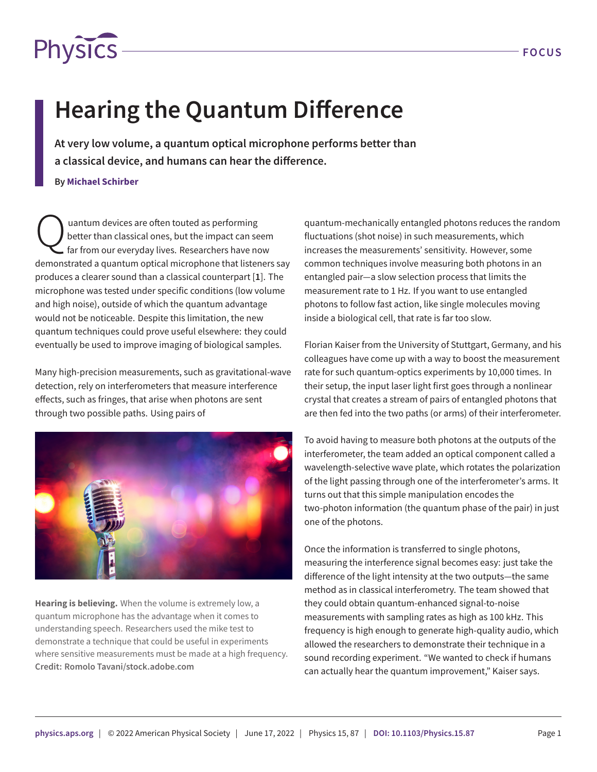

## **Hearing the Quantum Difference**

**At very low volume, a quantum optical microphone performs better than a classical device, and humans can hear the difference.**

**By Michael Schirber**

Q uantum devices are often touted as performing better than classical ones, but the impact can seem far from our everyday lives. Researchers have now demonstrated a quantum optical microphone that listeners say produces a clearer sound than a classical counterpart [**[1](#page-1-0)**]. The microphone was tested under specific conditions (low volume and high noise), outside of which the quantum advantage would not be noticeable. Despite this limitation, the new quantum techniques could prove useful elsewhere: they could eventually be used to improve imaging of biological samples.

Many high-precision measurements, such as gravitational-wave detection, rely on interferometers that measure interference effects, such as fringes, that arise when photons are sent through two possible paths. Using pairs of



**Hearing is believing.** When the volume is extremely low, a quantum microphone has the advantage when it comes to understanding speech. Researchers used the mike test to demonstrate a technique that could be useful in experiments where sensitive measurements must be made at a high frequency. **Credit: Romolo Tavani/stock.adobe.com**

quantum-mechanically entangled photons reduces the random fluctuations (shot noise) in such measurements, which increases the measurements' sensitivity. However, some common techniques involve measuring both photons in an entangled pair—a slow selection process that limits the measurement rate to 1 Hz. If you want to use entangled photons to follow fast action, like single molecules moving inside a biological cell, that rate is far too slow.

Florian Kaiser from the University of Stuttgart, Germany, and his colleagues have come up with a way to boost the measurement rate for such quantum-optics experiments by 10,000 times. In their setup, the input laser light first goes through a nonlinear crystal that creates a stream of pairs of entangled photons that are then fed into the two paths (or arms) of their interferometer.

To avoid having to measure both photons at the outputs of the interferometer, the team added an optical component called a wavelength-selective wave plate, which rotates the polarization of the light passing through one of the interferometer's arms. It turns out that this simple manipulation encodes the two-photon information (the quantum phase of the pair) in just one of the photons.

Once the information is transferred to single photons, measuring the interference signal becomes easy: just take the difference of the light intensity at the two outputs—the same method as in classical interferometry. The team showed that they could obtain quantum-enhanced signal-to-noise measurements with sampling rates as high as 100 kHz. This frequency is high enough to generate high-quality audio, which allowed the researchers to demonstrate their technique in a sound recording experiment. "We wanted to check if humans can actually hear the quantum improvement," Kaiser says.